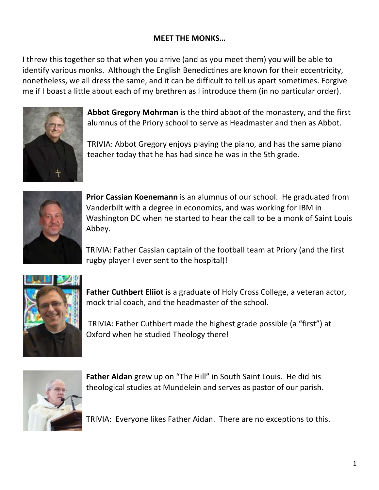## **MEET THE MONKS…**

I threw this together so that when you arrive (and as you meet them) you will be able to identify various monks. Although the English Benedictines are known for their eccentricity, nonetheless, we all dress the same, and it can be difficult to tell us apart sometimes. Forgive me if I boast a little about each of my brethren as I introduce them (in no particular order).



**Abbot Gregory Mohrman** is the third abbot of the monastery, and the first alumnus of the Priory school to serve as Headmaster and then as Abbot.

TRIVIA: Abbot Gregory enjoys playing the piano, and has the same piano teacher today that he has had since he was in the 5th grade.



**Prior Cassian Koenemann** is an alumnus of our school. He graduated from Vanderbilt with a degree in economics, and was working for IBM in Washington DC when he started to hear the call to be a monk of Saint Louis Abbey.

TRIVIA: Father Cassian captain of the football team at Priory (and the first rugby player I ever sent to the hospital)!



**Father Cuthbert Eliiot** is a graduate of Holy Cross College, a veteran actor, mock trial coach, and the headmaster of the school.

TRIVIA: Father Cuthbert made the highest grade possible (a "first") at Oxford when he studied Theology there!



**Father Aidan** grew up on "The Hill" in South Saint Louis. He did his theological studies at Mundelein and serves as pastor of our parish.

TRIVIA: Everyone likes Father Aidan. There are no exceptions to this.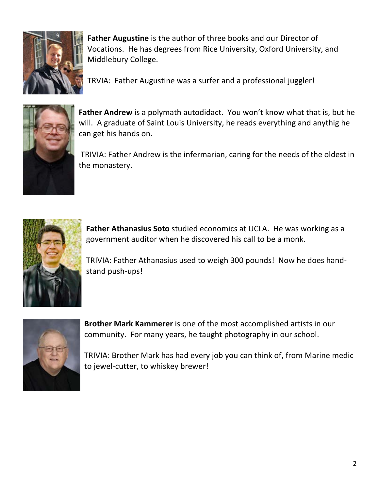

**Father Augustine** is the author of three books and our Director of Vocations. He has degrees from Rice University, Oxford University, and Middlebury College.

TRVIA: Father Augustine was a surfer and a professional juggler!



**Father Andrew** is a polymath autodidact. You won't know what that is, but he will. A graduate of Saint Louis University, he reads everything and anythig he can get his hands on.

TRIVIA: Father Andrew is the infermarian, caring for the needs of the oldest in the monastery.



**Father Athanasius Soto** studied economics at UCLA. He was working as a government auditor when he discovered his call to be a monk.

TRIVIA: Father Athanasius used to weigh 300 pounds! Now he does handstand push-ups!



**Brother Mark Kammerer** is one of the most accomplished artists in our community. For many years, he taught photography in our school.

TRIVIA: Brother Mark has had every job you can think of, from Marine medic to jewel-cutter, to whiskey brewer!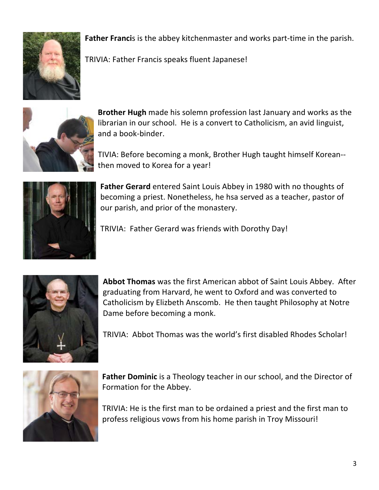

**Father Franci**s is the abbey kitchenmaster and works part-time in the parish.

TRIVIA: Father Francis speaks fluent Japanese!



**Brother Hugh** made his solemn profession last January and works as the librarian in our school. He is a convert to Catholicism, an avid linguist, and a book-binder.

TIVIA: Before becoming a monk, Brother Hugh taught himself Korean- then moved to Korea for a year!



**Father Gerard** entered Saint Louis Abbey in 1980 with no thoughts of becoming a priest. Nonetheless, he hsa served as a teacher, pastor of our parish, and prior of the monastery.

TRIVIA: Father Gerard was friends with Dorothy Day!



**Abbot Thomas** was the first American abbot of Saint Louis Abbey. After graduating from Harvard, he went to Oxford and was converted to Catholicism by Elizbeth Anscomb. He then taught Philosophy at Notre Dame before becoming a monk.

TRIVIA: Abbot Thomas was the world's first disabled Rhodes Scholar!



**Father Dominic** is a Theology teacher in our school, and the Director of Formation for the Abbey.

TRIVIA: He is the first man to be ordained a priest and the first man to profess religious vows from his home parish in Troy Missouri!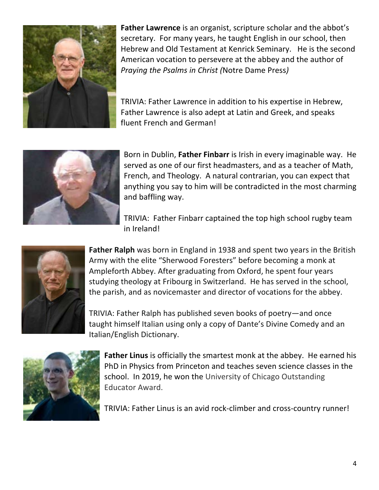

**Father Lawrence** is an organist, scripture scholar and the abbot's secretary. For many years, he taught English in our school, then Hebrew and Old Testament at Kenrick Seminary. He is the second American vocation to persevere at the abbey and the author of *Praying the Psalms in Christ (*Notre Dame Press*)*

TRIVIA: Father Lawrence in addition to his expertise in Hebrew, Father Lawrence is also adept at Latin and Greek, and speaks fluent French and German!



Born in Dublin, **Father Finbarr** is Irish in every imaginable way. He served as one of our first headmasters, and as a teacher of Math, French, and Theology. A natural contrarian, you can expect that anything you say to him will be contradicted in the most charming and baffling way.

TRIVIA: Father Finbarr captained the top high school rugby team in Ireland!



**Father Ralph** was born in England in 1938 and spent two years in the British Army with the elite "Sherwood Foresters" before becoming a monk at Ampleforth Abbey. After graduating from Oxford, he spent four years studying theology at Fribourg in Switzerland. He has served in the school, the parish, and as novicemaster and director of vocations for the abbey.

TRIVIA: Father Ralph has published seven books of poetry—and once taught himself Italian using only a copy of Dante's Divine Comedy and an Italian/English Dictionary.



**Father Linus** is officially the smartest monk at the abbey. He earned his PhD in Physics from Princeton and teaches seven science classes in the school. In 2019, he won the University of Chicago Outstanding Educator Award.

TRIVIA: Father Linus is an avid rock-climber and cross-country runner!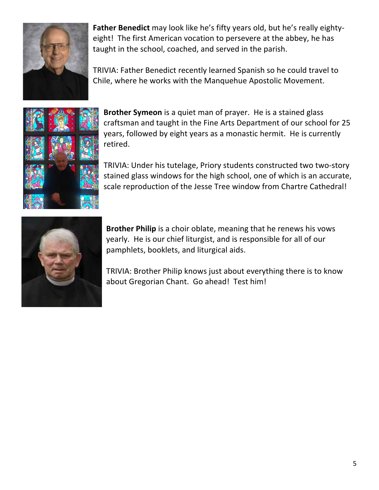

**Father Benedict** may look like he's fifty years old, but he's really eightyeight! The first American vocation to persevere at the abbey, he has taught in the school, coached, and served in the parish.

TRIVIA: Father Benedict recently learned Spanish so he could travel to Chile, where he works with the Manquehue Apostolic Movement.



**Brother Symeon** is a quiet man of prayer. He is a stained glass craftsman and taught in the Fine Arts Department of our school for 25 years, followed by eight years as a monastic hermit. He is currently retired.

TRIVIA: Under his tutelage, Priory students constructed two two-story stained glass windows for the high school, one of which is an accurate, scale reproduction of the Jesse Tree window from Chartre Cathedral!



**Brother Philip** is a choir oblate, meaning that he renews his vows yearly. He is our chief liturgist, and is responsible for all of our pamphlets, booklets, and liturgical aids.

TRIVIA: Brother Philip knows just about everything there is to know about Gregorian Chant. Go ahead! Test him!